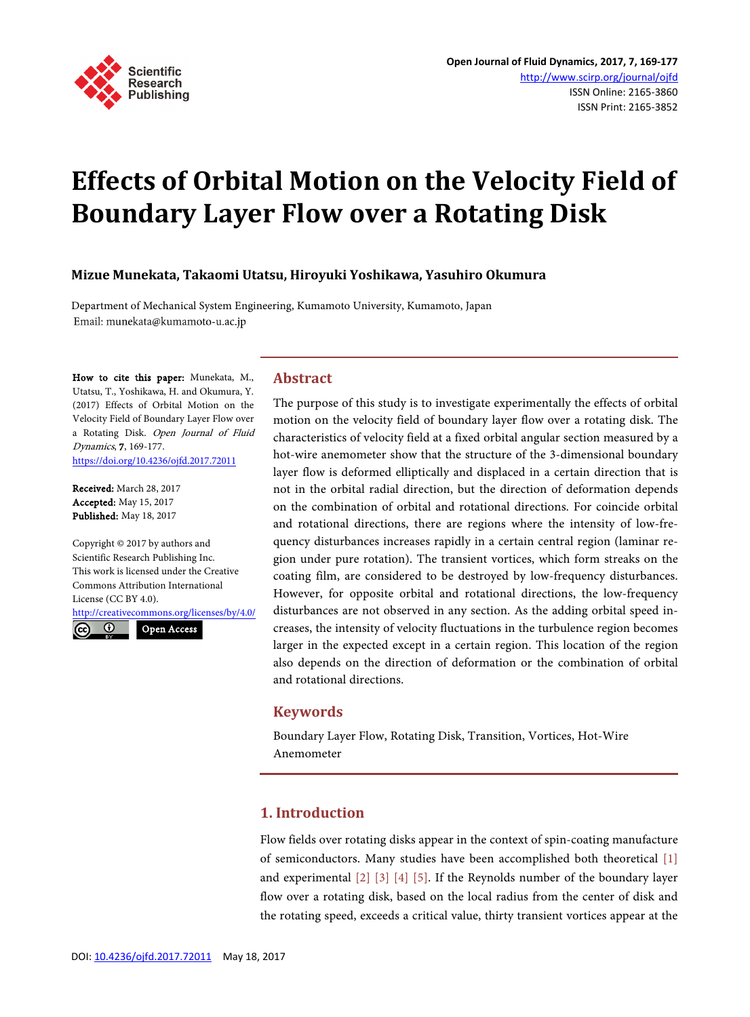

# **Effects of Orbital Motion on the Velocity Field of Boundary Layer Flow over a Rotating Disk**

## **Mizue Munekata, Takaomi Utatsu, Hiroyuki Yoshikawa, Yasuhiro Okumura**

Department of Mechanical System Engineering, Kumamoto University, Kumamoto, Japan Email: munekata@kumamoto-u.ac.jp

How to cite this paper: Munekata, M., Utatsu, T., Yoshikawa, H. and Okumura, Y. (2017) Effects of Orbital Motion on the Velocity Field of Boundary Layer Flow over a Rotating Disk. Open Journal of Fluid Dynamics, 7, 169-177. <https://doi.org/10.4236/ojfd.2017.72011>

Received: March 28, 2017 Accepted: May 15, 2017 Published: May 18, 2017

Copyright © 2017 by authors and Scientific Research Publishing Inc. This work is licensed under the Creative Commons Attribution International License (CC BY 4.0).

<http://creativecommons.org/licenses/by/4.0/>  $\odot$ Open Access  $(cc)$ 

## **Abstract**

The purpose of this study is to investigate experimentally the effects of orbital motion on the velocity field of boundary layer flow over a rotating disk. The characteristics of velocity field at a fixed orbital angular section measured by a hot-wire anemometer show that the structure of the 3-dimensional boundary layer flow is deformed elliptically and displaced in a certain direction that is not in the orbital radial direction, but the direction of deformation depends on the combination of orbital and rotational directions. For coincide orbital and rotational directions, there are regions where the intensity of low-frequency disturbances increases rapidly in a certain central region (laminar region under pure rotation). The transient vortices, which form streaks on the coating film, are considered to be destroyed by low-frequency disturbances. However, for opposite orbital and rotational directions, the low-frequency disturbances are not observed in any section. As the adding orbital speed increases, the intensity of velocity fluctuations in the turbulence region becomes larger in the expected except in a certain region. This location of the region also depends on the direction of deformation or the combination of orbital and rotational directions.

## **Keywords**

Boundary Layer Flow, Rotating Disk, Transition, Vortices, Hot-Wire Anemometer

## **1. Introduction**

Flow fields over rotating disks appear in the context of spin-coating manufacture of semiconductors. Many studies have been accomplished both theoretical [\[1\]](#page-7-0) and experimental [\[2\]](#page-7-1) [\[3\]](#page-7-2) [\[4\]](#page-7-3) [\[5\].](#page-8-0) If the Reynolds number of the boundary layer flow over a rotating disk, based on the local radius from the center of disk and the rotating speed, exceeds a critical value, thirty transient vortices appear at the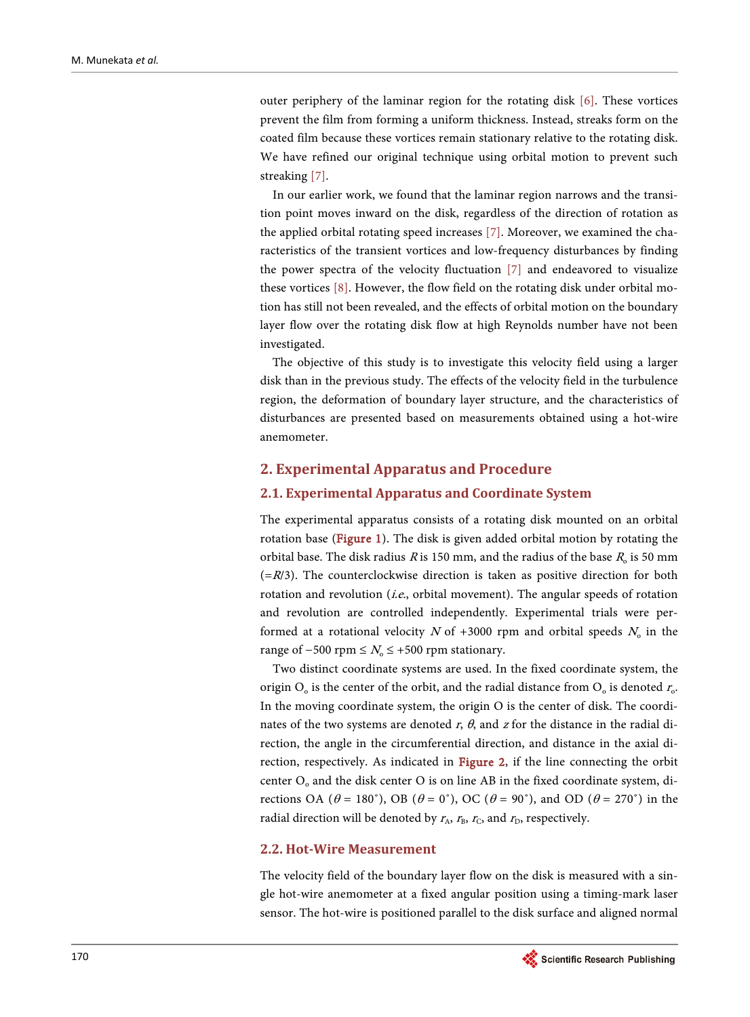outer periphery of the laminar region for the rotating disk [\[6\].](#page-8-1) These vortices prevent the film from forming a uniform thickness. Instead, streaks form on the coated film because these vortices remain stationary relative to the rotating disk. We have refined our original technique using orbital motion to prevent such streaking [\[7\].](#page-8-2)

In our earlier work, we found that the laminar region narrows and the transition point moves inward on the disk, regardless of the direction of rotation as the applied orbital rotating speed increases [\[7\].](#page-8-2) Moreover, we examined the characteristics of the transient vortices and low-frequency disturbances by finding the power spectra of the velocity fluctuation [\[7\]](#page-8-2) and endeavored to visualize these vortices [\[8\].](#page-8-3) However, the flow field on the rotating disk under orbital motion has still not been revealed, and the effects of orbital motion on the boundary layer flow over the rotating disk flow at high Reynolds number have not been investigated.

The objective of this study is to investigate this velocity field using a larger disk than in the previous study. The effects of the velocity field in the turbulence region, the deformation of boundary layer structure, and the characteristics of disturbances are presented based on measurements obtained using a hot-wire anemometer.

## **2. Experimental Apparatus and Procedure**

#### **2.1. Experimental Apparatus and Coordinate System**

The experimental apparatus consists of a rotating disk mounted on an orbital rotation base [\(Figure 1\)](#page-2-0). The disk is given added orbital motion by rotating the orbital base. The disk radius R is 150 mm, and the radius of the base  $R_0$  is 50 mm  $(=R/3)$ . The counterclockwise direction is taken as positive direction for both rotation and revolution (*i.e.*, orbital movement). The angular speeds of rotation and revolution are controlled independently. Experimental trials were performed at a rotational velocity N of +3000 rpm and orbital speeds  $N_0$  in the range of  $-500$  rpm ≤  $N_0$  ≤ +500 rpm stationary.

Two distinct coordinate systems are used. In the fixed coordinate system, the origin  $O_0$  is the center of the orbit, and the radial distance from  $O_0$  is denoted  $r_o$ . In the moving coordinate system, the origin O is the center of disk. The coordinates of the two systems are denoted r,  $\theta$ , and z for the distance in the radial direction, the angle in the circumferential direction, and distance in the axial direction, respectively. As indicated in [Figure 2,](#page-3-0) if the line connecting the orbit center  $O_0$  and the disk center O is on line AB in the fixed coordinate system, directions OA ( $\theta = 180^\circ$ ), OB ( $\theta = 0^\circ$ ), OC ( $\theta = 90^\circ$ ), and OD ( $\theta = 270^\circ$ ) in the radial direction will be denoted by  $r_A$ ,  $r_B$ ,  $r_C$ , and  $r_D$ , respectively.

## **2.2. Hot-Wire Measurement**

The velocity field of the boundary layer flow on the disk is measured with a single hot-wire anemometer at a fixed angular position using a timing-mark laser sensor. The hot-wire is positioned parallel to the disk surface and aligned normal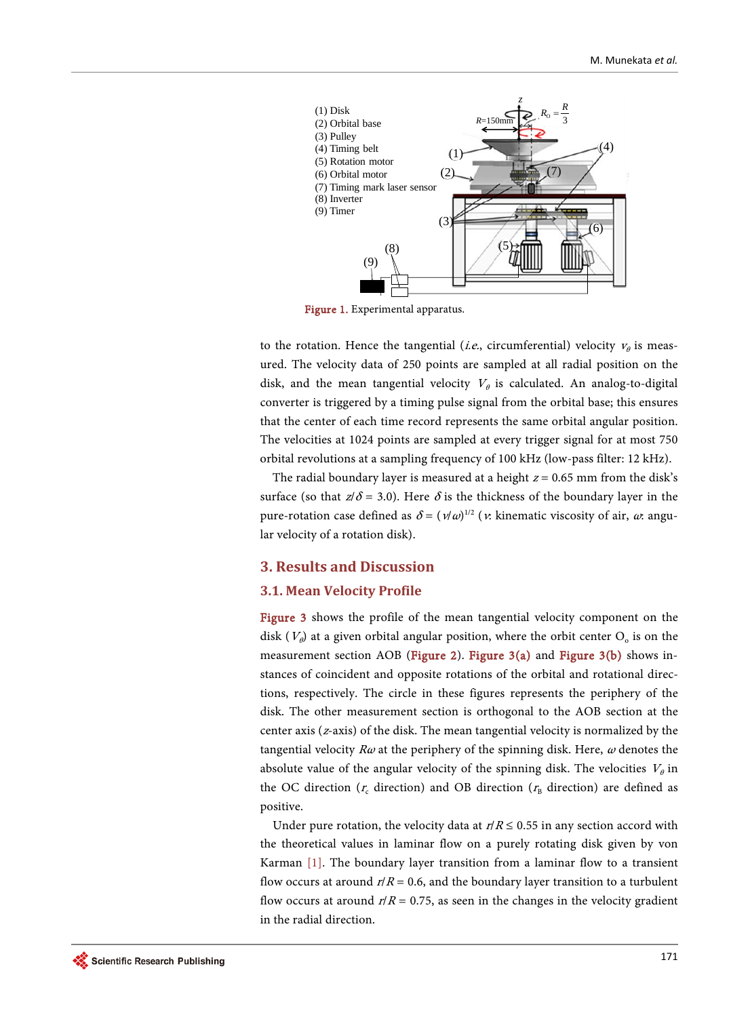<span id="page-2-0"></span>

Figure 1. Experimental apparatus.

to the rotation. Hence the tangential (*i.e.*, circumferential) velocity  $v_{\theta}$  is measured. The velocity data of 250 points are sampled at all radial position on the disk, and the mean tangential velocity  $V_{\theta}$  is calculated. An analog-to-digital converter is triggered by a timing pulse signal from the orbital base; this ensures that the center of each time record represents the same orbital angular position. The velocities at 1024 points are sampled at every trigger signal for at most 750 orbital revolutions at a sampling frequency of 100 kHz (low-pass filter: 12 kHz).

The radial boundary layer is measured at a height  $z = 0.65$  mm from the disk's surface (so that  $z/\delta$  = 3.0). Here  $\delta$  is the thickness of the boundary layer in the pure-rotation case defined as  $\delta = (v/\omega)^{1/2}$  (*v*: kinematic viscosity of air,  $\omega$ : angular velocity of a rotation disk).

## **3. Results and Discussion**

#### **3.1. Mean Velocity Profile**

[Figure 3](#page-3-1) shows the profile of the mean tangential velocity component on the disk ( $V_{\theta}$ ) at a given orbital angular position, where the orbit center  $O_{o}$  is on the measurement section AOB [\(Figure 2\)](#page-3-0). [Figure 3\(a\)](#page-3-1) and [Figure 3\(b\)](#page-3-2) shows instances of coincident and opposite rotations of the orbital and rotational directions, respectively. The circle in these figures represents the periphery of the disk. The other measurement section is orthogonal to the AOB section at the center axis (z-axis) of the disk. The mean tangential velocity is normalized by the tangential velocity  $R\omega$  at the periphery of the spinning disk. Here,  $\omega$  denotes the absolute value of the angular velocity of the spinning disk. The velocities  $V_{\theta}$  in the OC direction ( $r_c$  direction) and OB direction ( $r_B$  direction) are defined as positive.

Under pure rotation, the velocity data at  $r/R \le 0.55$  in any section accord with the theoretical values in laminar flow on a purely rotating disk given by von Karman [\[1\].](#page-7-0) The boundary layer transition from a laminar flow to a transient flow occurs at around  $r/R = 0.6$ , and the boundary layer transition to a turbulent flow occurs at around  $r/R = 0.75$ , as seen in the changes in the velocity gradient in the radial direction.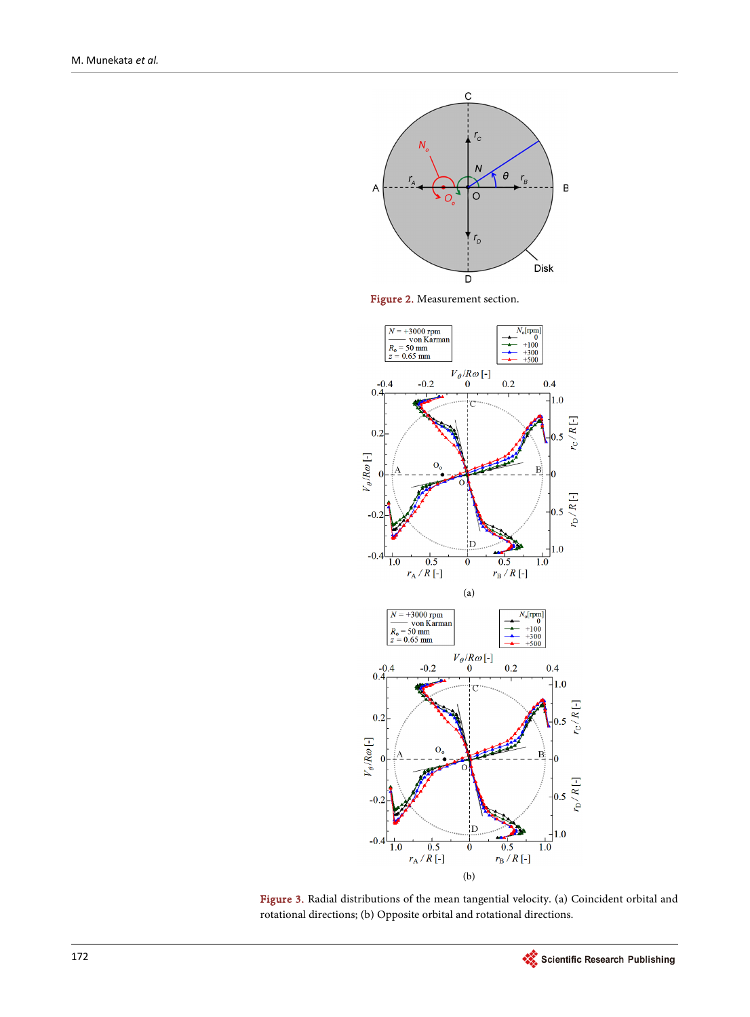<span id="page-3-0"></span>

Figure 2. Measurement section.

<span id="page-3-1"></span>

<span id="page-3-2"></span>Figure 3. Radial distributions of the mean tangential velocity. (a) Coincident orbital and rotational directions; (b) Opposite orbital and rotational directions.

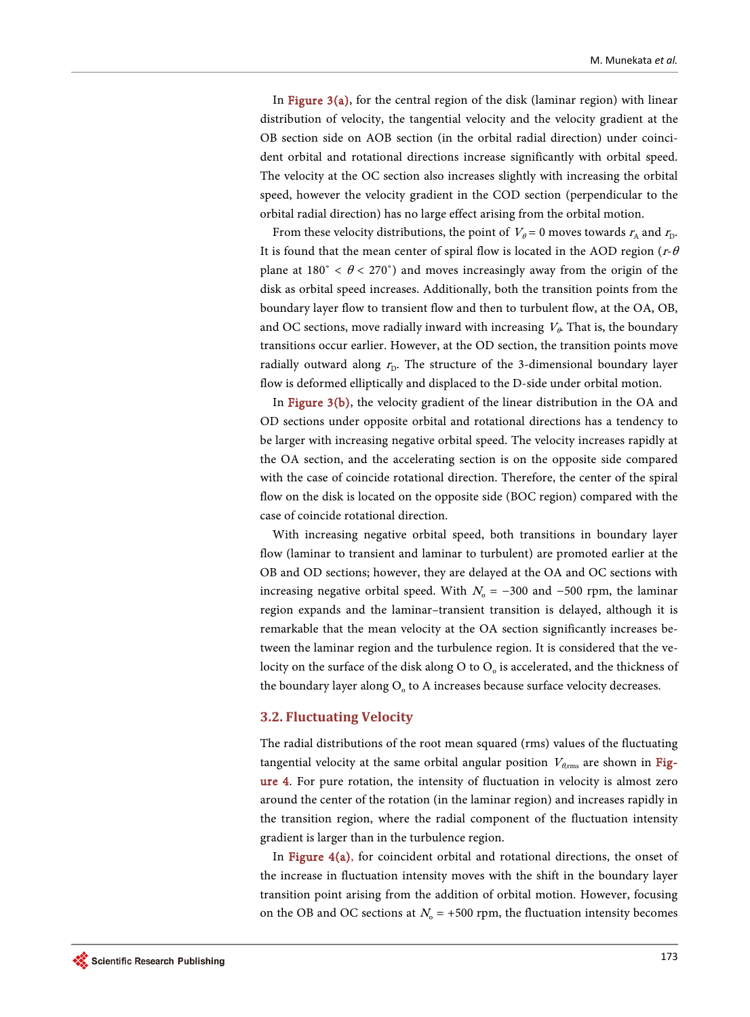In Figure  $3(a)$ , for the central region of the disk (laminar region) with linear distribution of velocity, the tangential velocity and the velocity gradient at the OB section side on AOB section (in the orbital radial direction) under coincident orbital and rotational directions increase significantly with orbital speed. The velocity at the OC section also increases slightly with increasing the orbital speed, however the velocity gradient in the COD section (perpendicular to the orbital radial direction) has no large effect arising from the orbital motion.

From these velocity distributions, the point of  $V_{\theta} = 0$  moves towards  $r_{A}$  and  $r_{D}$ . It is found that the mean center of spiral flow is located in the AOD region ( $r$ - $\theta$ plane at 180°  $\lt \theta \lt 270$ °) and moves increasingly away from the origin of the disk as orbital speed increases. Additionally, both the transition points from the boundary layer flow to transient flow and then to turbulent flow, at the OA, OB, and OC sections, move radially inward with increasing  $V_\theta$ . That is, the boundary transitions occur earlier. However, at the OD section, the transition points move radially outward along  $r<sub>D</sub>$ . The structure of the 3-dimensional boundary layer flow is deformed elliptically and displaced to the D-side under orbital motion.

In [Figure 3\(b\),](#page-3-2) the velocity gradient of the linear distribution in the OA and OD sections under opposite orbital and rotational directions has a tendency to be larger with increasing negative orbital speed. The velocity increases rapidly at the OA section, and the accelerating section is on the opposite side compared with the case of coincide rotational direction. Therefore, the center of the spiral flow on the disk is located on the opposite side (BOC region) compared with the case of coincide rotational direction.

With increasing negative orbital speed, both transitions in boundary layer flow (laminar to transient and laminar to turbulent) are promoted earlier at the OB and OD sections; however, they are delayed at the OA and OC sections with increasing negative orbital speed. With  $N_0 = -300$  and  $-500$  rpm, the laminar region expands and the laminar–transient transition is delayed, although it is remarkable that the mean velocity at the OA section significantly increases between the laminar region and the turbulence region. It is considered that the velocity on the surface of the disk along  $O$  to  $O<sub>o</sub>$  is accelerated, and the thickness of the boundary layer along  $O<sub>o</sub>$  to A increases because surface velocity decreases.

#### **3.2. Fluctuating Velocity**

The radial distributions of the root mean squared (rms) values of the fluctuating tangential velocity at the same orbital angular position  $V_{\ell,rms}$  are shown in [Fig](#page-5-0)[ure 4.](#page-5-0) For pure rotation, the intensity of fluctuation in velocity is almost zero around the center of the rotation (in the laminar region) and increases rapidly in the transition region, where the radial component of the fluctuation intensity gradient is larger than in the turbulence region.

In [Figure 4\(a\),](#page-5-0) for coincident orbital and rotational directions, the onset of the increase in fluctuation intensity moves with the shift in the boundary layer transition point arising from the addition of orbital motion. However, focusing on the OB and OC sections at  $N_0 = +500$  rpm, the fluctuation intensity becomes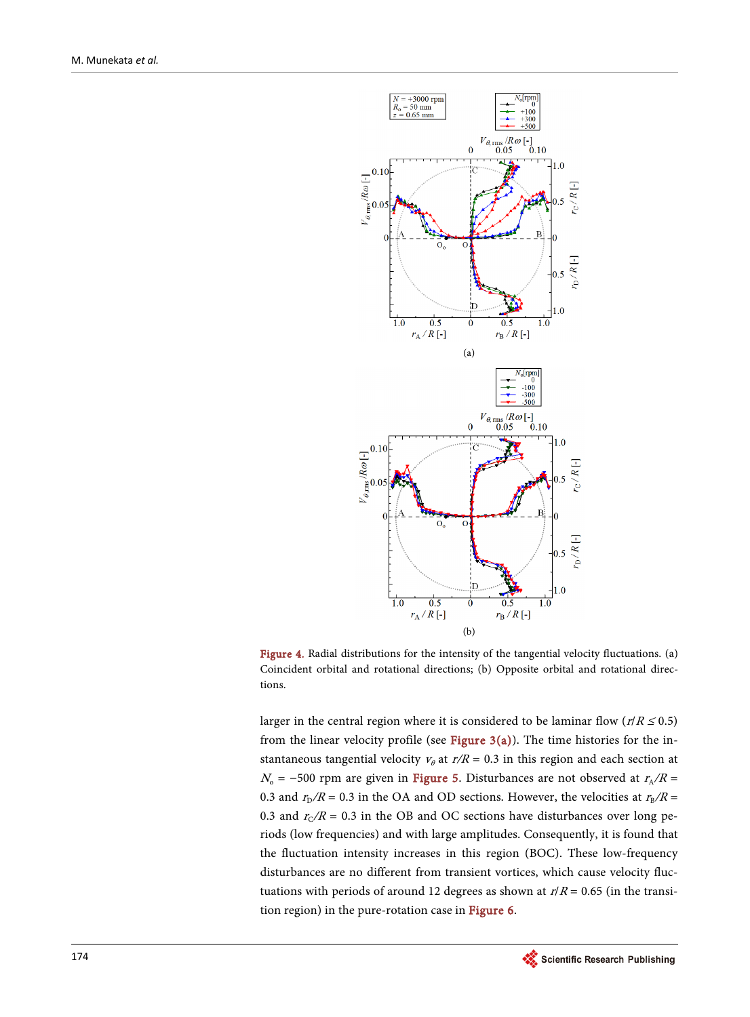<span id="page-5-0"></span>

<span id="page-5-1"></span>Figure 4. Radial distributions for the intensity of the tangential velocity fluctuations. (a) Coincident orbital and rotational directions; (b) Opposite orbital and rotational directions.

larger in the central region where it is considered to be laminar flow ( $r/R \le 0.5$ ) from the linear velocity profile (see Figure  $3(a)$ ). The time histories for the instantaneous tangential velocity  $v_{\theta}$  at  $r/R = 0.3$  in this region and each section at  $N_0$  = −500 rpm are given in [Figure 5.](#page-6-0) Disturbances are not observed at  $r_A/R$  = 0.3 and  $r_{\rm D}/R$  = 0.3 in the OA and OD sections. However, the velocities at  $r_{\rm B}/R$  = 0.3 and  $r_C/R = 0.3$  in the OB and OC sections have disturbances over long periods (low frequencies) and with large amplitudes. Consequently, it is found that the fluctuation intensity increases in this region (BOC). These low-frequency disturbances are no different from transient vortices, which cause velocity fluctuations with periods of around 12 degrees as shown at  $r/R = 0.65$  (in the transition region) in the pure-rotation case in [Figure 6.](#page-6-1)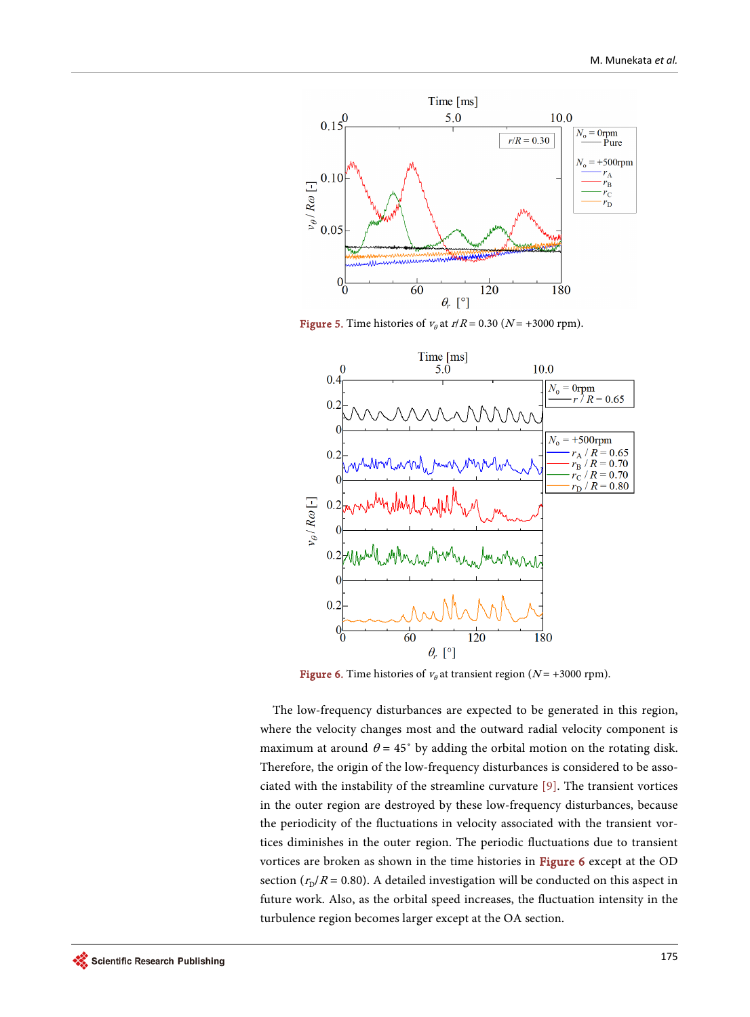<span id="page-6-0"></span>

Figure 5. Time histories of  $v_\theta$  at  $r/R = 0.30$  (N = +3000 rpm).

<span id="page-6-1"></span>

**Figure 6.** Time histories of  $v_{\theta}$  at transient region ( $N = +3000$  rpm).

The low-frequency disturbances are expected to be generated in this region, where the velocity changes most and the outward radial velocity component is maximum at around  $\theta = 45^{\circ}$  by adding the orbital motion on the rotating disk. Therefore, the origin of the low-frequency disturbances is considered to be associated with the instability of the streamline curvature [\[9\].](#page-8-4) The transient vortices in the outer region are destroyed by these low-frequency disturbances, because the periodicity of the fluctuations in velocity associated with the transient vortices diminishes in the outer region. The periodic fluctuations due to transient vortices are broken as shown in the time histories in [Figure 6](#page-6-1) except at the OD section  $(r_D/R = 0.80)$ . A detailed investigation will be conducted on this aspect in future work. Also, as the orbital speed increases, the fluctuation intensity in the turbulence region becomes larger except at the OA section.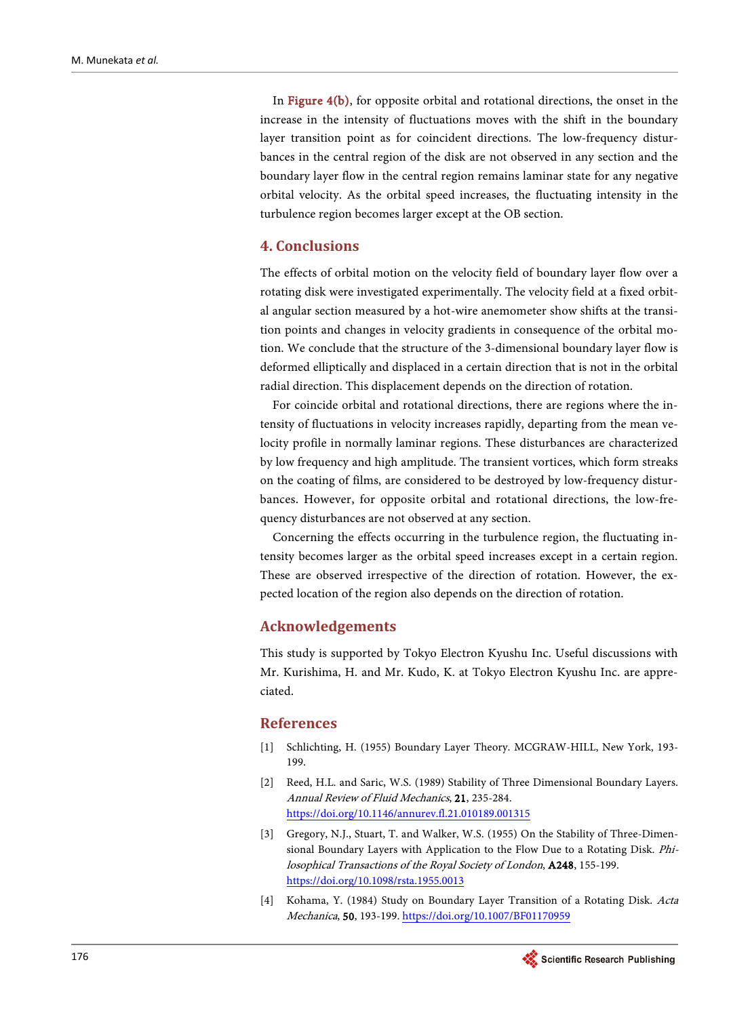In [Figure 4\(b\),](#page-5-1) for opposite orbital and rotational directions, the onset in the increase in the intensity of fluctuations moves with the shift in the boundary layer transition point as for coincident directions. The low-frequency disturbances in the central region of the disk are not observed in any section and the boundary layer flow in the central region remains laminar state for any negative orbital velocity. As the orbital speed increases, the fluctuating intensity in the turbulence region becomes larger except at the OB section.

## **4. Conclusions**

The effects of orbital motion on the velocity field of boundary layer flow over a rotating disk were investigated experimentally. The velocity field at a fixed orbital angular section measured by a hot-wire anemometer show shifts at the transition points and changes in velocity gradients in consequence of the orbital motion. We conclude that the structure of the 3-dimensional boundary layer flow is deformed elliptically and displaced in a certain direction that is not in the orbital radial direction. This displacement depends on the direction of rotation.

For coincide orbital and rotational directions, there are regions where the intensity of fluctuations in velocity increases rapidly, departing from the mean velocity profile in normally laminar regions. These disturbances are characterized by low frequency and high amplitude. The transient vortices, which form streaks on the coating of films, are considered to be destroyed by low-frequency disturbances. However, for opposite orbital and rotational directions, the low-frequency disturbances are not observed at any section.

Concerning the effects occurring in the turbulence region, the fluctuating intensity becomes larger as the orbital speed increases except in a certain region. These are observed irrespective of the direction of rotation. However, the expected location of the region also depends on the direction of rotation.

## **Acknowledgements**

This study is supported by Tokyo Electron Kyushu Inc. Useful discussions with Mr. Kurishima, H. and Mr. Kudo, K. at Tokyo Electron Kyushu Inc. are appreciated.

## **References**

- <span id="page-7-0"></span>[1] Schlichting, H. (1955) Boundary Layer Theory. MCGRAW-HILL, New York, 193- 199.
- <span id="page-7-1"></span>[2] Reed, H.L. and Saric, W.S. (1989) Stability of Three Dimensional Boundary Layers. Annual Review of Fluid Mechanics, 21, 235-284. <https://doi.org/10.1146/annurev.fl.21.010189.001315>
- <span id="page-7-2"></span>[3] Gregory, N.J., Stuart, T. and Walker, W.S. (1955) On the Stability of Three-Dimensional Boundary Layers with Application to the Flow Due to a Rotating Disk. Philosophical Transactions of the Royal Society of London, A248, 155-199. <https://doi.org/10.1098/rsta.1955.0013>
- <span id="page-7-3"></span>[4] Kohama, Y. (1984) Study on Boundary Layer Transition of a Rotating Disk. Acta Mechanica, 50, 193-199. <https://doi.org/10.1007/BF01170959>